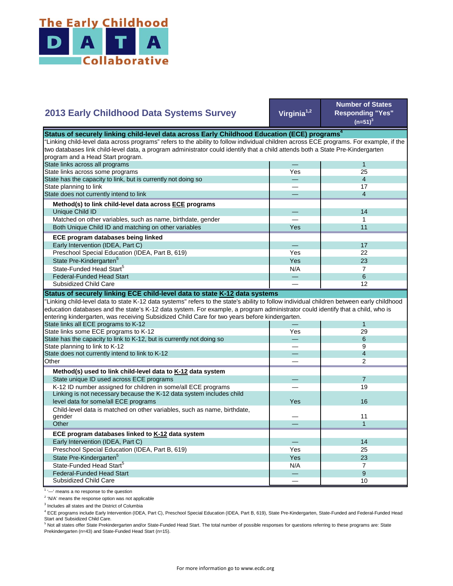

## **Virginia1,2 Number of States Responding "Yes"**   $(n=51)^{3}$ — 1 Yes 25 — 4 — 17 — 4 — 14 — 1 Yes **I** 11 — 17 Yes **I** 22  $Yes$  23  $N/A$  7 State Pre-Kindergarten<sup>5</sup> State-Funded Head Start<sup>5</sup> Matched on other variables, such as name, birthdate, gender Both Unique Child ID and matching on other variables  **ECE program databases being linked**  Early Intervention (IDEA, Part C) Preschool Special Education (IDEA, Part B, 619) State has the capacity to link, but is currently not doing so State planning to link State does not currently intend to link  **Method(s) to link child-level data across ECE programs** Unique Child ID **2013 Early Childhood Data Systems Survey** Status of securely linking child-level data across Early Childhood Education (ECE) programs<sup>4</sup> "Linking child-level data across programs" refers to the ability to follow individual children across ECE programs. For example, if the two databases link child-level data, a program administrator could identify that a child attends both a State Pre-Kindergarten program and a Head Start program. State links across all programs State links across some programs — 6 — 12 — 1 Yes 29 — 6 — 9 — 4 — 2 — 7 — 19 Yes — 11 — 1 — 14 Yes I 25 Yes 23  $N/A$  7 — 9 — 10 Preschool Special Education (IDEA, Part B, 619) State Pre-Kindergarten<sup>5</sup> State-Funded Head Start<sup>5</sup> Federal-Funded Head Start Subsidized Child Care Child-level data is matched on other variables, such as name, birthdate, gender **Other ECE program databases linked to K-12 data system** Early Intervention (IDEA, Part C) **Other Method(s) used to link child-level data to K-12 data system** State unique ID used across ECE programs K-12 ID number assigned for children in some/all ECE programs Linking is not necessary because the K-12 data system includes child level data for some/all ECE programs 16 and 200 minutes and 200 minutes of the state of the state of the state of the state of the state of the state of the state of the state of the state of the state of the state of the "Linking child-level data to state K-12 data systems" refers to the state's ability to follow individual children between early childhood education databases and the state's K-12 data system. For example, a program administrator could identify that a child, who is entering kindergarten, was receiving Subsidized Child Care for two years before kindergarten. State links all ECE programs to K-12 State links some ECE programs to K-12 State has the capacity to link to K-12, but is currently not doing so State planning to link to K-12 State does not currently intend to link to K-12 Federal-Funded Head Start Subsidized Child Care **Status of securely linking ECE child-level data to state K-12 data systems**

<sup>1</sup> '-' means a no response to the question

<sup>2</sup> 'N/A' means the response option was not applicable

<sup>3</sup> Includes all states and the District of Columbia

<sup>4</sup> ECE programs include Early Intervention (IDEA, Part C), Preschool Special Education (IDEA, Part B, 619), State Pre-Kindergarten, State-Funded and Federal-Funded Head Start and Subsidized Child Care.

<sup>5</sup> Not all states offer State Prekindergarten and/or State-Funded Head Start. The total number of possible responses for questions referring to these programs are: State Prekindergarten (n=43) and State-Funded Head Start (n=15).